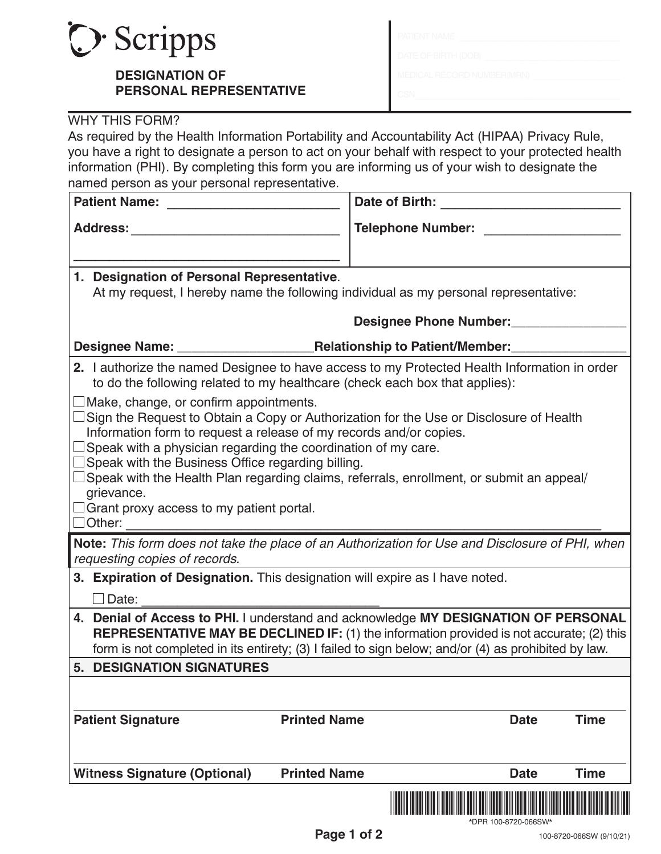

## **DESIGNATION OF PERSONAL REPRESENTATIVE**

| PATIENT NAME                      |  |
|-----------------------------------|--|
| DATE OF BIRTH (DOB)               |  |
| <b>MEDICAL RECORD NUMBER(MRN)</b> |  |
|                                   |  |

## WHY THIS FORM?

As required by the Health Information Portability and Accountability Act (HIPAA) Privacy Rule, you have a right to designate a person to act on your behalf with respect to your protected health information (PHI). By completing this form you are informing us of your wish to designate the named person as your personal representative.

| <b>Patient Name:</b>                                                                                                                                                                                                                                                                                                                                                                                                                                                                                                       | Date of Birth: Note of Birth:              |  |  |  |  |
|----------------------------------------------------------------------------------------------------------------------------------------------------------------------------------------------------------------------------------------------------------------------------------------------------------------------------------------------------------------------------------------------------------------------------------------------------------------------------------------------------------------------------|--------------------------------------------|--|--|--|--|
| <b>Address:</b>                                                                                                                                                                                                                                                                                                                                                                                                                                                                                                            | <b>Telephone Number:</b> Telephone Number: |  |  |  |  |
|                                                                                                                                                                                                                                                                                                                                                                                                                                                                                                                            |                                            |  |  |  |  |
| 1. Designation of Personal Representative.                                                                                                                                                                                                                                                                                                                                                                                                                                                                                 |                                            |  |  |  |  |
| At my request, I hereby name the following individual as my personal representative:                                                                                                                                                                                                                                                                                                                                                                                                                                       |                                            |  |  |  |  |
| Designee Phone Number:                                                                                                                                                                                                                                                                                                                                                                                                                                                                                                     |                                            |  |  |  |  |
|                                                                                                                                                                                                                                                                                                                                                                                                                                                                                                                            |                                            |  |  |  |  |
| 2. I authorize the named Designee to have access to my Protected Health Information in order<br>to do the following related to my healthcare (check each box that applies):                                                                                                                                                                                                                                                                                                                                                |                                            |  |  |  |  |
| $\Box$ Make, change, or confirm appointments.<br>Sign the Request to Obtain a Copy or Authorization for the Use or Disclosure of Health<br>Information form to request a release of my records and/or copies.<br>$\Box$ Speak with a physician regarding the coordination of my care.<br>□ Speak with the Business Office regarding billing.<br>Speak with the Health Plan regarding claims, referrals, enrollment, or submit an appeal/<br>grievance.<br>$\Box$ Grant proxy access to my patient portal.<br>$\Box$ Other: |                                            |  |  |  |  |
| Note: This form does not take the place of an Authorization for Use and Disclosure of PHI, when<br>requesting copies of records.                                                                                                                                                                                                                                                                                                                                                                                           |                                            |  |  |  |  |
| 3. Expiration of Designation. This designation will expire as I have noted.                                                                                                                                                                                                                                                                                                                                                                                                                                                |                                            |  |  |  |  |
| $\Box$ Date:                                                                                                                                                                                                                                                                                                                                                                                                                                                                                                               |                                            |  |  |  |  |
| 4. Denial of Access to PHI. I understand and acknowledge MY DESIGNATION OF PERSONAL<br><b>REPRESENTATIVE MAY BE DECLINED IF:</b> (1) the information provided is not accurate; (2) this<br>form is not completed in its entirety; (3) I failed to sign below; and/or (4) as prohibited by law.                                                                                                                                                                                                                             |                                            |  |  |  |  |
| <b>5. DESIGNATION SIGNATURES</b>                                                                                                                                                                                                                                                                                                                                                                                                                                                                                           |                                            |  |  |  |  |
|                                                                                                                                                                                                                                                                                                                                                                                                                                                                                                                            |                                            |  |  |  |  |
| <b>Patient Signature</b><br><b>Printed Name</b>                                                                                                                                                                                                                                                                                                                                                                                                                                                                            | <b>Time</b><br><b>Date</b>                 |  |  |  |  |
| <b>Witness Signature (Optional)</b><br><b>Printed Name</b>                                                                                                                                                                                                                                                                                                                                                                                                                                                                 | <b>Time</b><br><b>Date</b>                 |  |  |  |  |
|                                                                                                                                                                                                                                                                                                                                                                                                                                                                                                                            |                                            |  |  |  |  |

\*DPR 100-8720-066SW\*